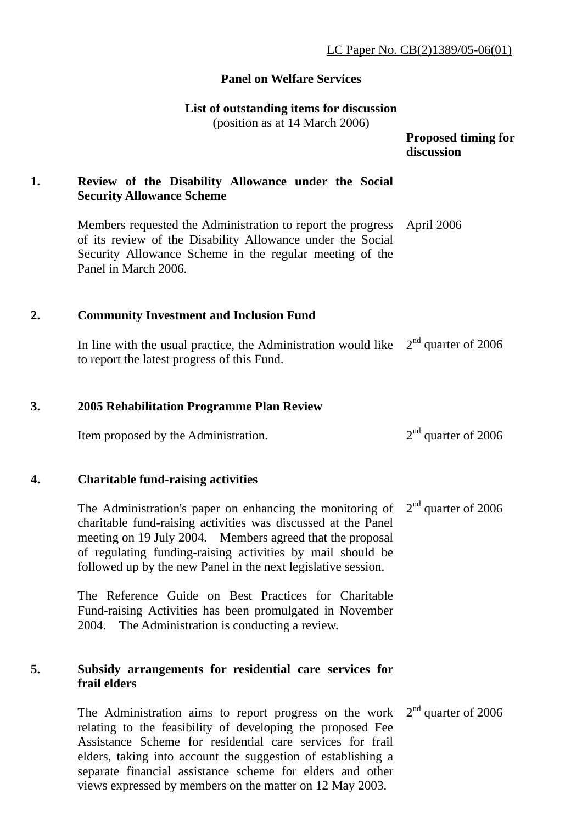## **Panel on Welfare Services**

#### **List of outstanding items for discussion**

(position as at 14 March 2006)

 **Proposed timing for discussion** 

# **1. Review of the Disability Allowance under the Social Security Allowance Scheme**

Members requested the Administration to report the progress of its review of the Disability Allowance under the Social Security Allowance Scheme in the regular meeting of the Panel in March 2006. April 2006

### **2. Community Investment and Inclusion Fund**

In line with the usual practice, the Administration would like  $2<sup>nd</sup>$  quarter of 2006 to report the latest progress of this Fund.

### **3. 2005 Rehabilitation Programme Plan Review**

Item proposed by the Administration.  $2<sup>nd</sup>$  quarter of 2006

#### **4. Charitable fund-raising activities**

The Administration's paper on enhancing the monitoring of charitable fund-raising activities was discussed at the Panel meeting on 19 July 2004. Members agreed that the proposal of regulating funding-raising activities by mail should be followed up by the new Panel in the next legislative session. 2<sup>nd</sup> quarter of 2006

The Reference Guide on Best Practices for Charitable Fund-raising Activities has been promulgated in November 2004. The Administration is conducting a review.

### **5. Subsidy arrangements for residential care services for frail elders**

The Administration aims to report progress on the work relating to the feasibility of developing the proposed Fee Assistance Scheme for residential care services for frail elders, taking into account the suggestion of establishing a separate financial assistance scheme for elders and other views expressed by members on the matter on 12 May 2003. 2<sup>nd</sup> quarter of 2006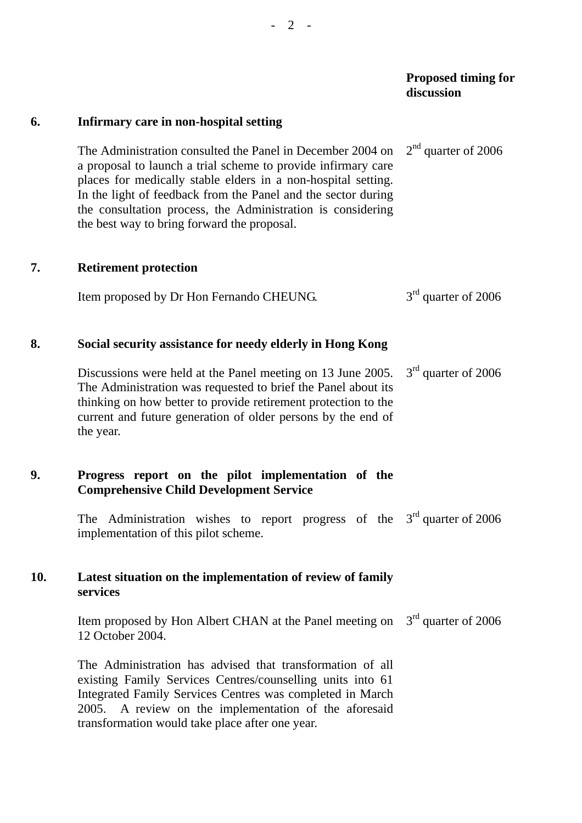### **Proposed timing for Proposed timing for discussion**

| 6.  | Infirmary care in non-hospital setting                                                                                                                                                                                                                                                                                                                                      |                       |
|-----|-----------------------------------------------------------------------------------------------------------------------------------------------------------------------------------------------------------------------------------------------------------------------------------------------------------------------------------------------------------------------------|-----------------------|
|     | The Administration consulted the Panel in December 2004 on<br>a proposal to launch a trial scheme to provide infirmary care<br>places for medically stable elders in a non-hospital setting.<br>In the light of feedback from the Panel and the sector during<br>the consultation process, the Administration is considering<br>the best way to bring forward the proposal. | $2nd$ quarter of 2006 |
| 7.  | <b>Retirement protection</b>                                                                                                                                                                                                                                                                                                                                                |                       |
|     | Item proposed by Dr Hon Fernando CHEUNG.                                                                                                                                                                                                                                                                                                                                    | $3rd$ quarter of 2006 |
| 8.  | Social security assistance for needy elderly in Hong Kong                                                                                                                                                                                                                                                                                                                   |                       |
|     | Discussions were held at the Panel meeting on 13 June 2005.<br>The Administration was requested to brief the Panel about its<br>thinking on how better to provide retirement protection to the<br>current and future generation of older persons by the end of<br>the year.                                                                                                 | $3rd$ quarter of 2006 |
| 9.  | Progress report on the pilot implementation of the<br><b>Comprehensive Child Development Service</b>                                                                                                                                                                                                                                                                        |                       |
|     | The Administration wishes to report progress of the<br>implementation of this pilot scheme.                                                                                                                                                                                                                                                                                 | $3rd$ quarter of 2006 |
| 10. | Latest situation on the implementation of review of family<br>services                                                                                                                                                                                                                                                                                                      |                       |
|     | Item proposed by Hon Albert CHAN at the Panel meeting on $3rd$ quarter of 2006<br>12 October 2004.                                                                                                                                                                                                                                                                          |                       |
|     | The Administration has advised that transformation of all<br>existing Family Services Centres/counselling units into 61<br>Integrated Family Services Centres was completed in March<br>A review on the implementation of the aforesaid<br>2005.                                                                                                                            |                       |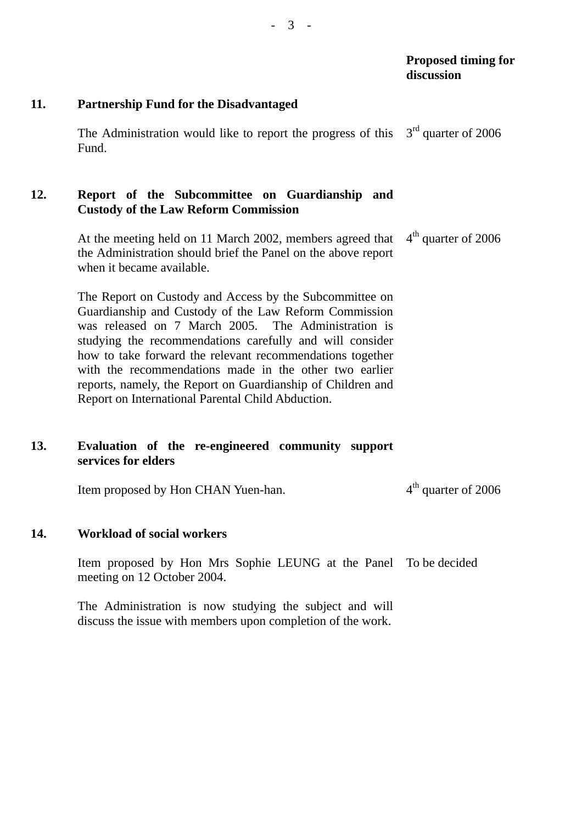### **Proposed timing for discussion**

#### **11. Partnership Fund for the Disadvantaged**

The Administration would like to report the progress of this  $3<sup>rd</sup>$  quarter of 2006 Fund.

### **12. Report of the Subcommittee on Guardianship and Custody of the Law Reform Commission**

At the meeting held on 11 March 2002, members agreed that the Administration should brief the Panel on the above report when it became available.  $4<sup>th</sup>$  quarter of 2006

The Report on Custody and Access by the Subcommittee on Guardianship and Custody of the Law Reform Commission was released on 7 March 2005. The Administration is studying the recommendations carefully and will consider how to take forward the relevant recommendations together with the recommendations made in the other two earlier reports, namely, the Report on Guardianship of Children and Report on International Parental Child Abduction.

## **13. Evaluation of the re-engineered community support services for elders**

Item proposed by Hon CHAN Yuen-han.  $4<sup>th</sup>$  quarter of 2006

#### **14. Workload of social workers**

Item proposed by Hon Mrs Sophie LEUNG at the Panel To be decided meeting on 12 October 2004.

The Administration is now studying the subject and will discuss the issue with members upon completion of the work.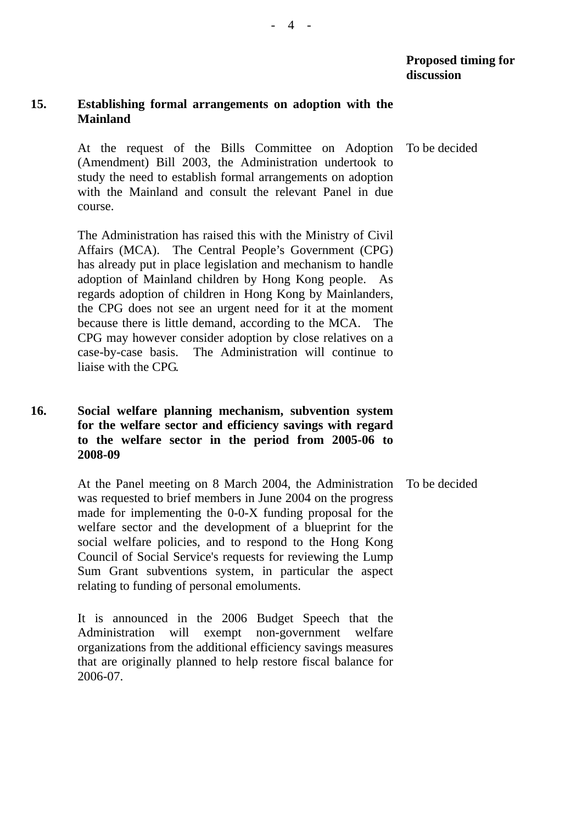## **15. Establishing formal arrangements on adoption with the Mainland**

At the request of the Bills Committee on Adoption (Amendment) Bill 2003, the Administration undertook to study the need to establish formal arrangements on adoption with the Mainland and consult the relevant Panel in due course. To be decided

The Administration has raised this with the Ministry of Civil Affairs (MCA). The Central People's Government (CPG) has already put in place legislation and mechanism to handle adoption of Mainland children by Hong Kong people. regards adoption of children in Hong Kong by Mainlanders, the CPG does not see an urgent need for it at the moment because there is little demand, according to the MCA. The CPG may however consider adoption by close relatives on a case-by-case basis. The Administration will continue to liaise with the CPG.

## **16. Social welfare planning mechanism, subvention system for the welfare sector and efficiency savings with regard to the welfare sector in the period from 2005-06 to 2008-09**

At the Panel meeting on 8 March 2004, the Administration was requested to brief members in June 2004 on the progress made for implementing the 0-0-X funding proposal for the welfare sector and the development of a blueprint for the social welfare policies, and to respond to the Hong Kong Council of Social Service's requests for reviewing the Lump Sum Grant subventions system, in particular the aspect relating to funding of personal emoluments. To be decided

It is announced in the 2006 Budget Speech that the Administration will exempt non-government welfare organizations from the additional efficiency savings measures that are originally planned to help restore fiscal balance for 2006-07.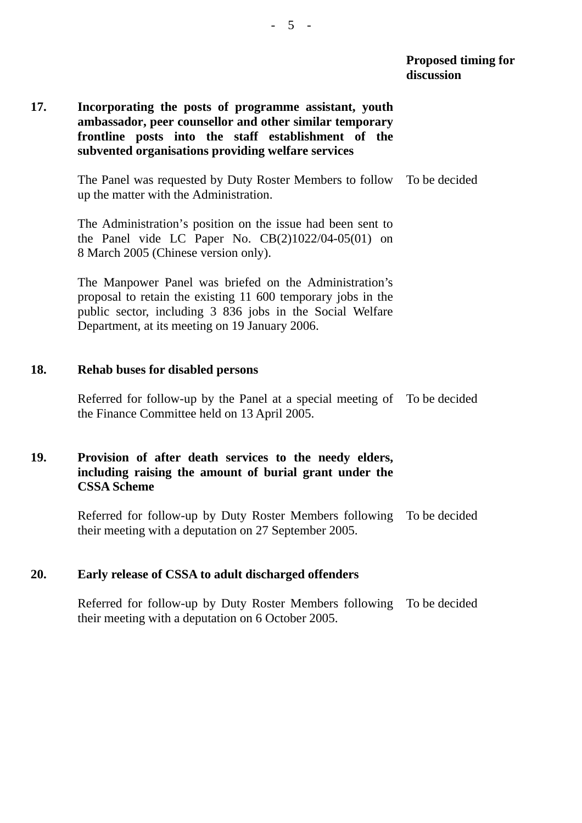## **17. Incorporating the posts of programme assistant, youth ambassador, peer counsellor and other similar temporary frontline posts into the staff establishment of the subvented organisations providing welfare services**

The Panel was requested by Duty Roster Members to follow To be decided up the matter with the Administration.

The Administration's position on the issue had been sent to the Panel vide LC Paper No.  $CB(2)1022/04-05(01)$  on 8 March 2005 (Chinese version only).

The Manpower Panel was briefed on the Administration's proposal to retain the existing 11 600 temporary jobs in the public sector, including 3 836 jobs in the Social Welfare Department, at its meeting on 19 January 2006.

#### **18. Rehab buses for disabled persons**

Referred for follow-up by the Panel at a special meeting of To be decided the Finance Committee held on 13 April 2005.

## **19. Provision of after death services to the needy elders, including raising the amount of burial grant under the CSSA Scheme**

Referred for follow-up by Duty Roster Members following To be decided their meeting with a deputation on 27 September 2005.

### **20. Early release of CSSA to adult discharged offenders**

Referred for follow-up by Duty Roster Members following To be decided their meeting with a deputation on 6 October 2005.